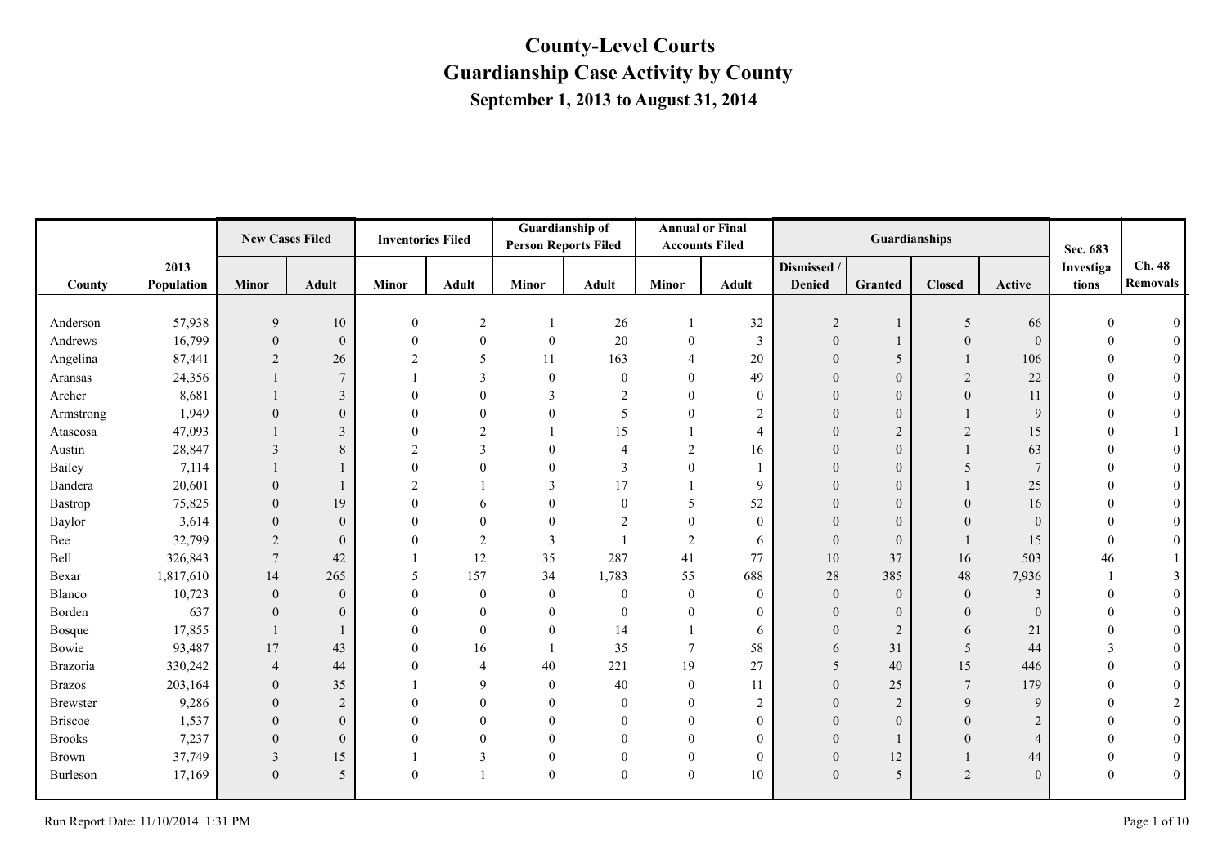|                 |            | <b>New Cases Filed</b> |                  | <b>Inventories Filed</b> |                | Guardianship of<br><b>Person Reports Filed</b> |                  |                  | <b>Annual or Final</b><br><b>Accounts Filed</b> |                | Guardianships    |                 |                | Sec. 683      |          |
|-----------------|------------|------------------------|------------------|--------------------------|----------------|------------------------------------------------|------------------|------------------|-------------------------------------------------|----------------|------------------|-----------------|----------------|---------------|----------|
|                 | 2013       |                        |                  |                          |                |                                                |                  |                  |                                                 | Dismissed /    |                  |                 |                | Investiga     | Ch. 48   |
| County          | Population | Minor                  | <b>Adult</b>     | <b>Minor</b>             | <b>Adult</b>   | Minor                                          | <b>Adult</b>     | <b>Minor</b>     | <b>Adult</b>                                    | Denied         | Granted          | <b>Closed</b>   | Active         | tions         | Removals |
|                 |            |                        |                  |                          |                |                                                |                  |                  |                                                 |                |                  |                 |                |               |          |
| Anderson        | 57,938     | 9                      | 10               | $\boldsymbol{0}$         | $\overline{c}$ |                                                | 26               | $\mathbf{1}$     | 32                                              | $\overline{2}$ |                  | 5               | 66             |               |          |
| Andrews         | 16,799     | $\Omega$               | $\mathbf{0}$     | $\Omega$                 | $\theta$       | $\mathbf{0}$                                   | $20\,$           | $\theta$         | 3                                               | $\theta$       |                  | $\overline{0}$  | $\theta$       |               |          |
| Angelina        | 87,441     | 2                      | 26               |                          | 5              | 11                                             | 163              | $\overline{4}$   | 20                                              |                | 5                |                 | 106            | $\Omega$      |          |
| Aransas         | 24,356     |                        | $\overline{7}$   |                          | 3              | $\mathbf{0}$                                   | $\boldsymbol{0}$ | $\overline{0}$   | 49                                              |                | $\mathbf{0}$     | $\overline{c}$  | 22             |               |          |
| Archer          | 8,681      |                        | $\mathfrak{Z}$   | $\Omega$                 | $\theta$       | 3                                              | 2                | $\theta$         | $\theta$                                        | $\Omega$       | $\mathbf{0}$     | $\overline{0}$  | 11             | $\Omega$      |          |
| Armstrong       | 1,949      | $\theta$               | $\overline{0}$   | $\Omega$                 | $\theta$       | $\mathbf{0}$                                   | 5                | $\overline{0}$   | $\overline{c}$                                  |                | $\overline{0}$   |                 | 9              | $\Omega$      |          |
| Atascosa        | 47,093     |                        | 3                | $\Omega$                 | $\overline{2}$ |                                                | 15               |                  | 4                                               |                | $\overline{2}$   | $\overline{2}$  | 15             |               |          |
| Austin          | 28,847     | 3                      | 8                | $\mathcal{L}$            | 3              | $\theta$                                       | 4                | 2                | 16                                              | 0              | $\mathbf{0}$     |                 | 63             |               |          |
| Bailey          | 7,114      |                        |                  |                          | $\Omega$       | $\Omega$                                       | 3                | $\theta$         |                                                 |                | $\mathbf{0}$     | 5               | $\overline{7}$ | $\Omega$      |          |
| Bandera         | 20,601     | $\theta$               |                  | $\mathcal{D}$            |                | 3                                              | 17               |                  | 9                                               |                | $\mathbf{0}$     |                 | 25             |               |          |
| Bastrop         | 75,825     | $\Omega$               | 19               | $\Omega$                 | 6              | $\Omega$                                       | $\overline{0}$   | 5                | 52                                              |                | $\mathbf{0}$     | $\Omega$        | 16             |               |          |
| Baylor          | 3,614      | $\Omega$               | $\boldsymbol{0}$ |                          | $\Omega$       | $\theta$                                       | $\overline{c}$   | $\overline{0}$   | $\theta$                                        | $\overline{0}$ | $\mathbf{0}$     | $\Omega$        | $\theta$       | $\Omega$      |          |
| Bee             | 32,799     | 2                      | $\boldsymbol{0}$ |                          | $\overline{2}$ | $\overline{3}$                                 |                  | $\overline{2}$   | 6                                               | $\Omega$       | $\boldsymbol{0}$ |                 | 15             | $\theta$      |          |
| Bell            | 326,843    | $\overline{7}$         | 42               |                          | 12             | 35                                             | 287              | 41               | 77                                              | 10             | 37               | 16              | 503            | 46            |          |
| Bexar           | 1,817,610  | 14                     | 265              | -5                       | 157            | 34                                             | 1,783            | 55               | 688                                             | $28\,$         | 385              | $48\,$          | 7,936          |               |          |
| Blanco          | 10,723     | $\Omega$               | $\mathbf{0}$     | $\Omega$                 | $\theta$       | $\mathbf{0}$                                   | $\boldsymbol{0}$ | $\mathbf{0}$     | $\theta$                                        | $\Omega$       | $\boldsymbol{0}$ | $\mathbf{0}$    | 3              | $\Omega$      |          |
| Borden          | 637        | $\theta$               | $\overline{0}$   |                          | $\theta$       | $\theta$                                       | $\overline{0}$   | $\theta$         | $\theta$                                        |                | $\mathbf{0}$     | $\overline{0}$  | $\theta$       |               |          |
| Bosque          | 17,855     |                        |                  | $\Omega$                 | $\theta$       | $\theta$                                       | 14               |                  | 6                                               | $\theta$       | $\overline{2}$   | 6               | 21             | $\Omega$      |          |
| Bowie           | 93,487     | 17                     | 43               | $\theta$                 | 16             |                                                | 35               | $\overline{7}$   | 58                                              | 6              | 31               | 5               | 44             | $\mathcal{E}$ |          |
| Brazoria        | 330,242    | $\overline{4}$         | 44               |                          | $\overline{4}$ | 40                                             | 221              | 19               | 27                                              | 5              | 40               | 15              | 446            | $\theta$      |          |
| <b>Brazos</b>   | 203,164    | $\Omega$               | 35               |                          | 9              | $\theta$                                       | 40               | $\mathbf{0}$     | 11                                              | $\theta$       | 25               | $7\phantom{.0}$ | 179            | $\theta$      |          |
| <b>Brewster</b> | 9,286      | $\theta$               | 2                |                          | $\theta$       | $\theta$                                       | $\theta$         | $\theta$         | 2                                               |                | $\overline{2}$   | 9               | 9              | $\theta$      |          |
| <b>Briscoe</b>  | 1,537      | $\theta$               | $\mathbf{0}$     |                          | $\theta$       | $\theta$                                       | $\theta$         | $\theta$         | $\mathbf{0}$                                    |                | $\theta$         | $\theta$        | 2              |               |          |
| <b>Brooks</b>   | 7,237      | $\theta$               | $\overline{0}$   | $\Omega$                 | $\Omega$       | $\Omega$                                       | $\Omega$         | $\theta$         | $\theta$                                        | $\theta$       |                  | $\Omega$        | $\overline{4}$ |               |          |
| Brown           | 37,749     | 3                      | 15               |                          | 3              | $\mathbf{0}$                                   | $\theta$         | $\boldsymbol{0}$ | $\overline{0}$                                  | $\overline{0}$ | 12               |                 | 44             | $\theta$      |          |
| Burleson        | 17,169     | $\mathbf{0}$           | 5                | $\theta$                 |                | $\boldsymbol{0}$                               | $\overline{0}$   | $\boldsymbol{0}$ | 10                                              | $\theta$       | 5                | $\overline{2}$  | $\theta$       | $\Omega$      |          |
|                 |            |                        |                  |                          |                |                                                |                  |                  |                                                 |                |                  |                 |                |               |          |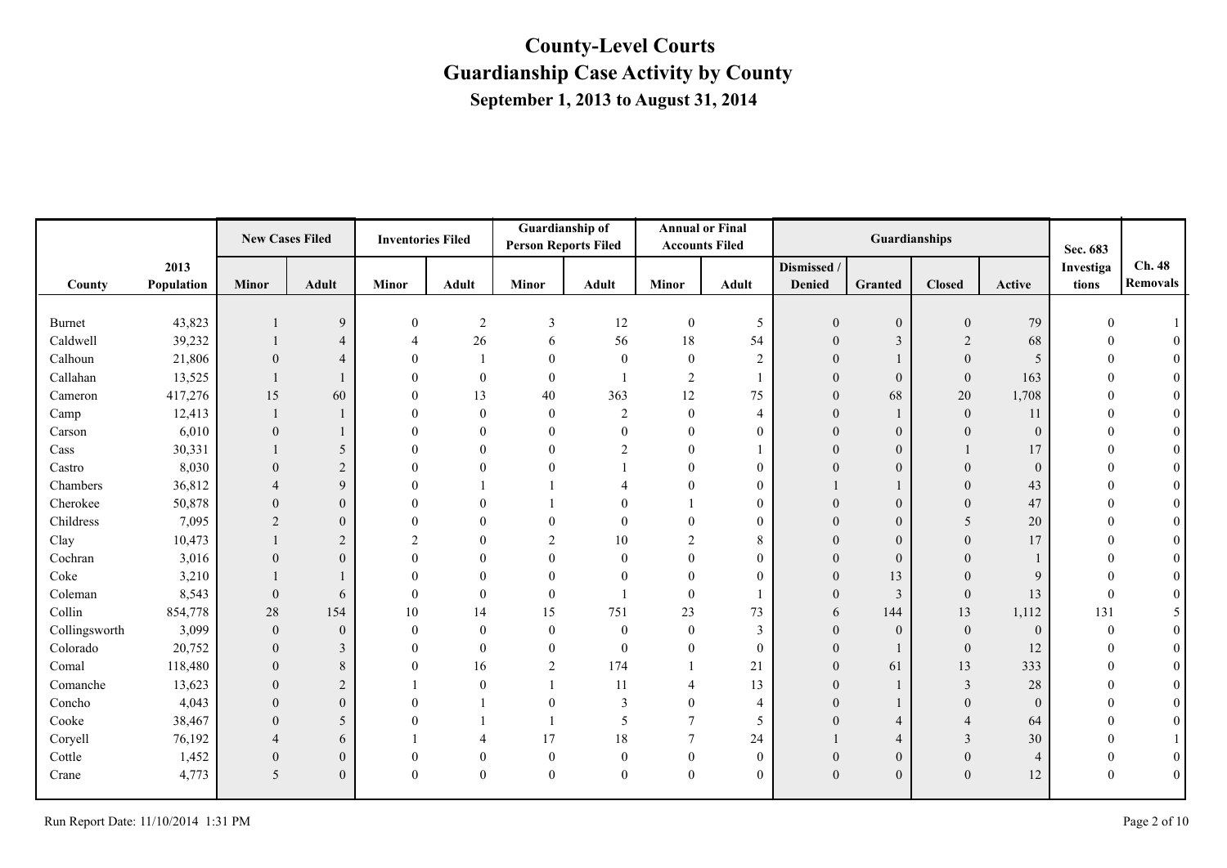|               |            | <b>New Cases Filed</b>   |                  | <b>Inventories Filed</b> |                | <b>Guardianship of</b><br><b>Person Reports Filed</b> |                  |                  | <b>Annual or Final</b><br><b>Accounts Filed</b> |                |                  | Guardianships    |                | Sec. 683  |                 |
|---------------|------------|--------------------------|------------------|--------------------------|----------------|-------------------------------------------------------|------------------|------------------|-------------------------------------------------|----------------|------------------|------------------|----------------|-----------|-----------------|
|               | 2013       |                          |                  |                          |                |                                                       |                  |                  |                                                 | Dismissed /    |                  |                  |                | Investiga | Ch. 48          |
| County        | Population | Minor                    | <b>Adult</b>     | <b>Minor</b>             | Adult          | Minor                                                 | Adult            | <b>Minor</b>     | <b>Adult</b>                                    | <b>Denied</b>  | <b>Granted</b>   | <b>Closed</b>    | Active         | tions     | <b>Removals</b> |
|               |            |                          |                  |                          |                |                                                       |                  |                  |                                                 |                |                  |                  |                |           |                 |
| <b>Burnet</b> | 43,823     |                          | 9                | $\theta$                 | $\overline{c}$ | 3                                                     | 12               | $\boldsymbol{0}$ | $\sqrt{5}$                                      | $\theta$       | $\mathbf{0}$     | $\boldsymbol{0}$ | 79             |           |                 |
| Caldwell      | 39,232     |                          | $\overline{4}$   | $\overline{A}$           | 26             | 6                                                     | 56               | 18               | 54                                              | $\overline{0}$ | $\mathfrak{Z}$   | 2                | 68             |           |                 |
| Calhoun       | 21,806     | $\theta$                 |                  |                          |                | $\mathbf{0}$                                          | $\overline{0}$   | $\overline{0}$   | 2                                               |                |                  | $\theta$         | 5              |           |                 |
| Callahan      | 13,525     |                          |                  |                          | $\mathbf{0}$   | $\mathbf{0}$                                          |                  | 2                |                                                 |                | $\overline{0}$   | $\boldsymbol{0}$ | 163            |           |                 |
| Cameron       | 417,276    | 15                       | 60               |                          | 13             | 40                                                    | 363              | 12               | 75                                              | $\theta$       | 68               | 20               | 1,708          |           | $\theta$        |
| Camp          | 12,413     |                          |                  |                          | $\mathbf{0}$   | $\mathbf{0}$                                          | 2                | $\mathbf{0}$     | 4                                               |                |                  | $\mathbf{0}$     | 11             |           |                 |
| Carson        | 6,010      | $\overline{0}$           |                  |                          | $\mathbf{0}$   | $\mathbf{0}$                                          | $\theta$         | $\mathbf{0}$     | $\mathbf{0}$                                    |                | $\mathbf{0}$     | $\mathbf{0}$     | $\mathbf{0}$   |           |                 |
| Cass          | 30,331     |                          | 5                |                          | $\Omega$       | $\Omega$                                              | $\mathcal{D}$    | $\Omega$         |                                                 | 0              | $\mathbf{0}$     |                  | 17             |           | $\theta$        |
| Castro        | 8,030      | $\Omega$                 | $\sqrt{2}$       |                          | $\Omega$       | $\Omega$                                              |                  | $\Omega$         | $\theta$                                        |                | $\mathbf{0}$     | $\Omega$         | $\theta$       |           | $\overline{0}$  |
| Chambers      | 36,812     | $\overline{\mathcal{A}}$ | 9                |                          |                |                                                       |                  | $\Omega$         | $\theta$                                        |                |                  | $\theta$         | 43             |           | $\theta$        |
| Cherokee      | 50,878     | $\Omega$                 | $\boldsymbol{0}$ |                          | $\Omega$       |                                                       |                  |                  | $\theta$                                        |                | $\overline{0}$   | $\Omega$         | 47             |           |                 |
| Childress     | 7,095      | 2                        | $\overline{0}$   |                          | $\Omega$       | $\theta$                                              | $\Omega$         | $\Omega$         | $\mathbf{0}$                                    |                | $\mathbf{0}$     | 5                | 20             |           | $\theta$        |
| Clay          | 10,473     |                          | $\sqrt{2}$       | $\mathcal{D}$            | $\Omega$       | $\overline{2}$                                        | 10               | $\overline{2}$   | 8                                               |                | $\boldsymbol{0}$ | $\theta$         | 17             |           | $\theta$        |
| Cochran       | 3,016      | $\Omega$                 | $\theta$         |                          | $\Omega$       | $\Omega$                                              |                  | $\Omega$         | $\theta$                                        |                | $\overline{0}$   |                  |                |           |                 |
| Coke          | 3,210      |                          |                  |                          | $\Omega$       | $\Omega$                                              |                  | $\Omega$         | $\theta$                                        | 0              | 13               | $\Omega$         | $\mathbf{Q}$   |           | $\Omega$        |
| Coleman       | 8,543      | $\Omega$                 | 6                |                          | $\Omega$       | $\mathbf{0}$                                          |                  | $\theta$         |                                                 |                | $\overline{3}$   | $\boldsymbol{0}$ | 13             |           |                 |
| Collin        | 854,778    | 28                       | 154              | 10                       | 14             | 15                                                    | 751              | 23               | 73                                              | 6              | 144              | 13               | 1,112          | 131       |                 |
| Collingsworth | 3,099      | $\theta$                 | $\boldsymbol{0}$ | $\Omega$                 | $\Omega$       | $\theta$                                              | $\mathbf{0}$     | $\theta$         | 3                                               | $\Omega$       | $\mathbf{0}$     | $\overline{0}$   | $\mathbf{0}$   | $\Omega$  |                 |
| Colorado      | 20,752     | $\Omega$                 | $\mathfrak{Z}$   |                          | $\Omega$       | $\theta$                                              | $\boldsymbol{0}$ | $\mathbf{0}$     | $\mathbf{0}$                                    |                |                  | $\boldsymbol{0}$ | 12             |           |                 |
| Comal         | 118,480    | $\Omega$                 | $8\,$            |                          | 16             | $\overline{2}$                                        | 174              |                  | 21                                              | $\theta$       | 61               | 13               | 333            |           | $\theta$        |
| Comanche      | 13,623     | $\Omega$                 | 2                |                          | $\Omega$       |                                                       | 11               | $\overline{A}$   | 13                                              | 0              |                  | 3                | 28             |           | $\theta$        |
| Concho        | 4,043      | $\Omega$                 | $\mathbf{0}$     |                          |                | $\theta$                                              | 3                | $\Omega$         | 4                                               |                |                  | $\theta$         | $\theta$       |           |                 |
| Cooke         | 38,467     | $\theta$                 | 5                |                          |                |                                                       | 5                |                  | 5                                               |                | $\overline{4}$   |                  | 64             |           |                 |
| Coryell       | 76,192     | $\overline{\mathcal{A}}$ | 6                |                          | 4              | 17                                                    | 18               | $\overline{7}$   | 24                                              |                | $\overline{4}$   | 3                | 30             |           |                 |
| Cottle        | 1,452      | $\theta$                 | $\boldsymbol{0}$ |                          | $\theta$       | $\mathbf{0}$                                          | $\boldsymbol{0}$ | $\mathbf{0}$     | $\mathbf{0}$                                    | $\theta$       | $\mathbf{0}$     | $\boldsymbol{0}$ | $\overline{4}$ |           |                 |
| Crane         | 4,773      | 5                        | $\mathbf{0}$     |                          | $\theta$       | $\boldsymbol{0}$                                      | $\overline{0}$   | $\mathbf{0}$     | $\mathbf{0}$                                    | $\theta$       | $\mathbf{0}$     | $\mathbf{0}$     | 12             |           | $\theta$        |
|               |            |                          |                  |                          |                |                                                       |                  |                  |                                                 |                |                  |                  |                |           |                 |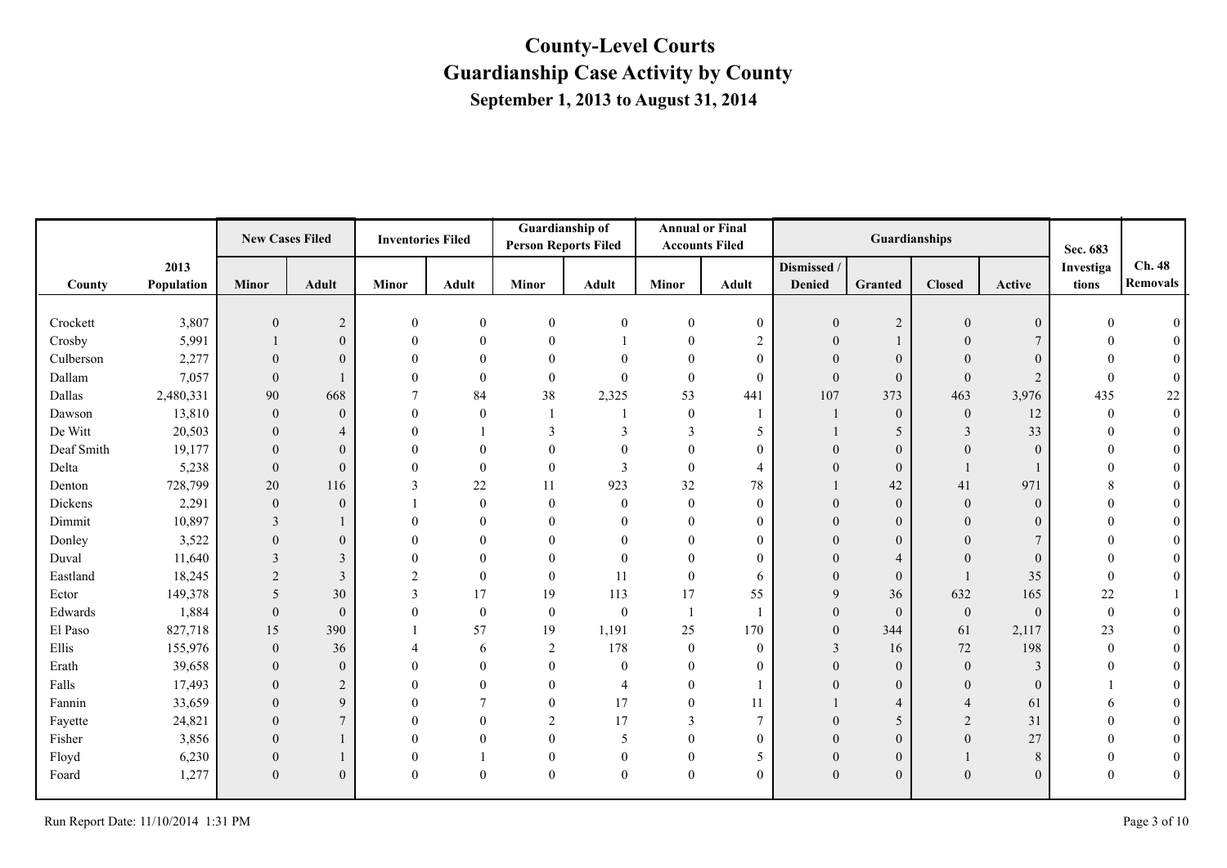|            |            | <b>New Cases Filed</b> |                  | <b>Inventories Filed</b> |               | Guardianship of<br><b>Person Reports Filed</b> |                  | <b>Accounts Filed</b> | <b>Annual or Final</b> |                | Guardianships    |                |                | Sec. 683     |                  |
|------------|------------|------------------------|------------------|--------------------------|---------------|------------------------------------------------|------------------|-----------------------|------------------------|----------------|------------------|----------------|----------------|--------------|------------------|
|            | 2013       |                        |                  |                          |               |                                                |                  |                       |                        | Dismissed /    |                  |                |                | Investiga    | Ch. 48           |
| County     | Population | Minor                  | <b>Adult</b>     | <b>Minor</b>             | <b>Adult</b>  | <b>Minor</b>                                   | <b>Adult</b>     | <b>Minor</b>          | <b>Adult</b>           | Denied         | Granted          | <b>Closed</b>  | Active         | tions        | <b>Removals</b>  |
|            |            |                        |                  |                          |               |                                                |                  |                       |                        |                |                  |                |                |              |                  |
| Crockett   | 3,807      | $\mathbf{0}$           | $\overline{2}$   | $\Omega$                 | $\mathbf{0}$  | $\boldsymbol{0}$                               | $\boldsymbol{0}$ | $\boldsymbol{0}$      | $\boldsymbol{0}$       | $\theta$       | $\sqrt{2}$       | $\theta$       | $\mathbf{0}$   |              |                  |
| Crosby     | 5,991      |                        | $\boldsymbol{0}$ |                          | $\theta$      | $\Omega$                                       |                  | $\theta$              | $\overline{c}$         | $\theta$       |                  | $\Omega$       |                |              |                  |
| Culberson  | 2,277      | $\theta$               | $\mathbf{0}$     | $\Omega$                 | $\theta$      | $\theta$                                       | $\Omega$         | $\overline{0}$        | $\theta$               |                | $\mathbf{0}$     | $\Omega$       | $\Omega$       |              |                  |
| Dallam     | 7,057      | $\overline{0}$         | $\mathbf{1}$     |                          | $\theta$      | $\overline{0}$                                 | $\theta$         | $\boldsymbol{0}$      | $\overline{0}$         | $\theta$       | $\boldsymbol{0}$ | $\mathbf{0}$   | $\overline{2}$ | $\Omega$     | $\theta$         |
| Dallas     | 2,480,331  | 90                     | 668              | 7                        | 84            | 38                                             | 2,325            | 53                    | 441                    | 107            | 373              | 463            | 3,976          | 435          | 22               |
| Dawson     | 13,810     | $\overline{0}$         | $\mathbf{0}$     | $\theta$                 | $\mathbf{0}$  |                                                |                  | $\boldsymbol{0}$      |                        |                | $\boldsymbol{0}$ | $\mathbf{0}$   | 12             | $\mathbf{0}$ | $\boldsymbol{0}$ |
| De Witt    | 20,503     | $\mathbf{0}$           | $\overline{4}$   |                          |               | 3                                              | 3                | 3                     | 5                      |                | 5                | 3              | 33             | $\theta$     | $\theta$         |
| Deaf Smith | 19,177     | $\theta$               | $\mathbf{0}$     |                          | $\theta$      |                                                |                  | $\overline{0}$        | $\theta$               |                | $\overline{0}$   | $\theta$       | $\Omega$       |              |                  |
| Delta      | 5,238      | $\mathbf{0}$           | $\theta$         |                          | $\theta$      | $\overline{0}$                                 | 3                | $\boldsymbol{0}$      | $\overline{4}$         |                | $\overline{0}$   |                |                |              | $\overline{0}$   |
| Denton     | 728,799    | 20                     | 116              | 3                        | $22\,$        | 11                                             | 923              | 32                    | 78                     |                | 42               | 41             | 971            |              | $\theta$         |
| Dickens    | 2,291      | $\overline{0}$         | $\mathbf{0}$     |                          | $\theta$      | $\theta$                                       | $\overline{0}$   | $\mathbf{0}$          | $\theta$               |                | $\mathbf{0}$     | $\overline{0}$ | $\mathbf{0}$   |              |                  |
| Dimmit     | 10,897     | 3                      |                  |                          | $\theta$      |                                                | $\theta$         | $\overline{0}$        | $\theta$               | $\Omega$       | $\mathbf{0}$     | $\theta$       | $\theta$       |              | $\theta$         |
| Donley     | 3,522      | $\theta$               | $\mathbf{0}$     |                          | $\Omega$      |                                                |                  | $\theta$              | $\Omega$               |                | $\boldsymbol{0}$ | $\Omega$       | $\overline{7}$ |              |                  |
| Duval      | 11,640     | 3                      | $\overline{3}$   |                          | $\theta$      |                                                |                  | $\overline{0}$        | $\theta$               |                | $\overline{4}$   | $\Omega$       | $\theta$       |              |                  |
| Eastland   | 18,245     | 2                      | 3                | $\mathfrak{D}$           | $\theta$      | $\theta$                                       | 11               | $\mathbf{0}$          | 6                      | 0              | $\overline{0}$   |                | 35             | $\theta$     | $\theta$         |
| Ector      | 149,378    | 5                      | 30               | 3                        | 17            | 19                                             | 113              | 17                    | 55                     | $\mathbf Q$    | 36               | 632            | 165            | 22           |                  |
| Edwards    | 1,884      | $\overline{0}$         | $\mathbf{0}$     | $\Omega$                 | $\mathbf{0}$  | $\boldsymbol{0}$                               | $\bf{0}$         | 1                     |                        | $\theta$       | $\boldsymbol{0}$ | $\mathbf{0}$   | $\mathbf{0}$   | $\mathbf{0}$ |                  |
| El Paso    | 827,718    | 15                     | 390              |                          | 57            | 19                                             | 1,191            | 25                    | 170                    | $\theta$       | 344              | 61             | 2,117          | 23           |                  |
| Ellis      | 155,976    | $\mathbf{0}$           | 36               |                          | 6             | 2                                              | 178              | $\boldsymbol{0}$      | $\overline{0}$         | $\mathbf{3}$   | 16               | 72             | 198            | $\theta$     |                  |
| Erath      | 39,658     | $\mathbf{0}$           | $\mathbf{0}$     |                          | $\mathbf{0}$  | $\Omega$                                       | $\mathbf{0}$     | $\boldsymbol{0}$      | $\theta$               |                | $\mathbf{0}$     | $\mathbf{0}$   | 3              |              |                  |
| Falls      | 17,493     | $\theta$               | $\overline{2}$   |                          | $\Omega$      | $\Omega$                                       | $\overline{4}$   | $\theta$              |                        | 0              | $\mathbf{0}$     | $\Omega$       | $\Omega$       |              | $\Omega$         |
| Fannin     | 33,659     | $\Omega$               | $\mathbf{Q}$     |                          | $\mathcal{I}$ | $\theta$                                       | 17               | $\overline{0}$        | 11                     |                | $\overline{4}$   |                | 61             |              | $\Omega$         |
| Fayette    | 24,821     | $\Omega$               | $\overline{7}$   |                          | $\theta$      | $\overline{2}$                                 | 17               | 3                     | $\overline{7}$         |                | 5                | $\overline{2}$ | 31             |              | $\overline{0}$   |
| Fisher     | 3,856      | $\Omega$               | 1                |                          | $\Omega$      | $\theta$                                       | 5                | $\theta$              | $\theta$               | $\Omega$       | $\overline{0}$   | $\theta$       | 27             |              | $\theta$         |
| Floyd      | 6,230      | $\mathbf{0}$           | 1                | $\Omega$                 |               | $\overline{0}$                                 | $\mathbf{0}$     | $\overline{0}$        | 5                      | $\overline{0}$ | $\mathbf{0}$     |                | 8              | $\theta$     | $\overline{0}$   |
| Foard      | 1,277      | $\mathbf{0}$           | $\mathbf{0}$     | $\Omega$                 | $\mathbf{0}$  | $\boldsymbol{0}$                               | $\mathbf{0}$     | $\boldsymbol{0}$      | $\theta$               | $\theta$       | $\mathbf{0}$     | $\mathbf{0}$   | $\mathbf{0}$   | $\Omega$     | $\boldsymbol{0}$ |
|            |            |                        |                  |                          |               |                                                |                  |                       |                        |                |                  |                |                |              |                  |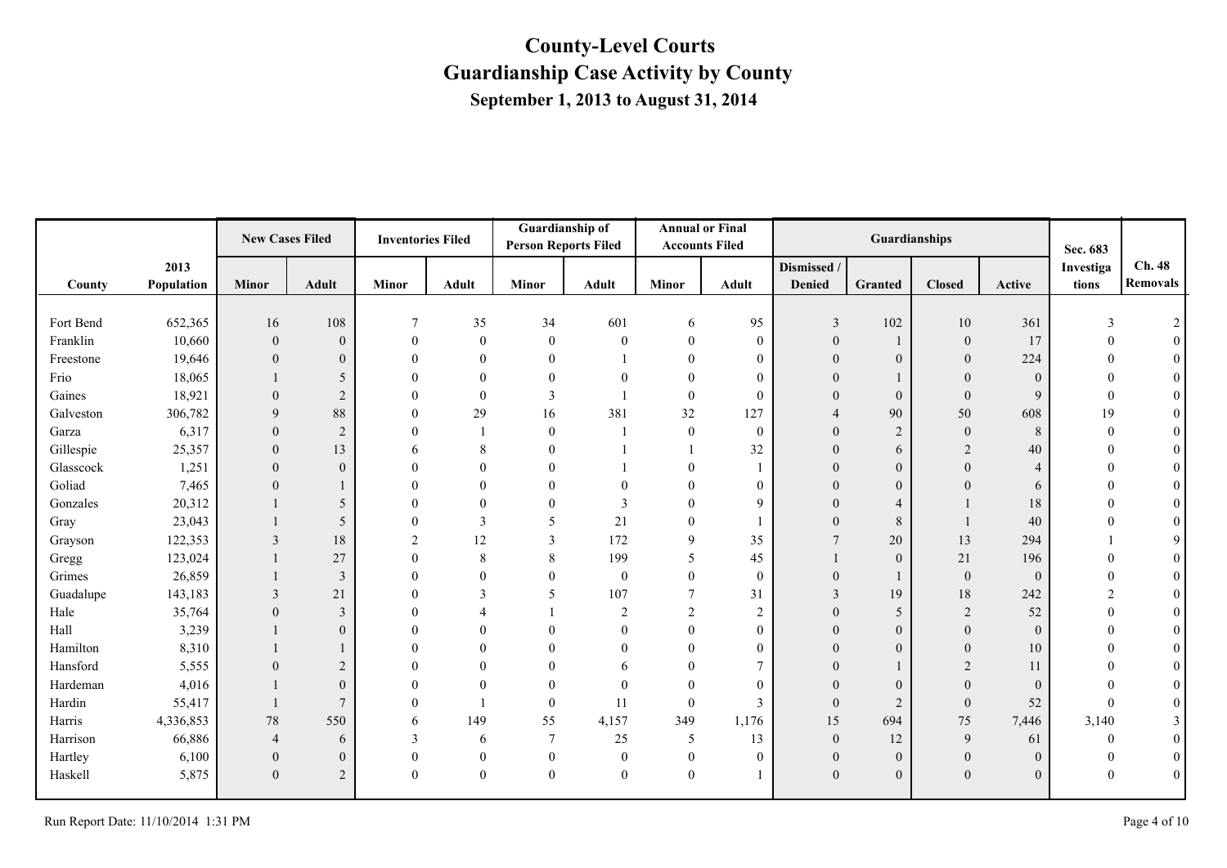|           |            | <b>New Cases Filed</b> |                  | <b>Inventories Filed</b> |              | Guardianship of<br><b>Person Reports Filed</b> |                | <b>Accounts Filed</b> | <b>Annual or Final</b> |                         | Guardianships    |                |                | Sec. 683  |                  |
|-----------|------------|------------------------|------------------|--------------------------|--------------|------------------------------------------------|----------------|-----------------------|------------------------|-------------------------|------------------|----------------|----------------|-----------|------------------|
|           | 2013       |                        |                  |                          |              |                                                |                |                       |                        | Dismissed /             |                  |                |                | Investiga | Ch. 48           |
| County    | Population | <b>Minor</b>           | <b>Adult</b>     | <b>Minor</b>             | <b>Adult</b> | Minor                                          | Adult          | <b>Minor</b>          | Adult                  | <b>Denied</b>           | Granted          | <b>Closed</b>  | Active         | tions     | <b>Removals</b>  |
|           |            |                        |                  | $\overline{7}$           |              |                                                | 601            |                       |                        |                         |                  |                |                |           |                  |
| Fort Bend | 652,365    | 16                     | 108              |                          | 35           | 34                                             |                | 6                     | 95                     | $\mathfrak{Z}$          | 102              | 10             | 361            |           | $\overline{2}$   |
| Franklin  | 10,660     | $\overline{0}$         | $\theta$         | $\Omega$                 | $\theta$     | $\overline{0}$                                 | $\mathbf{0}$   | $\theta$              | $\theta$               | $\theta$                |                  | $\overline{0}$ | 17             |           |                  |
| Freestone | 19,646     | $\theta$               | $\boldsymbol{0}$ |                          | $\theta$     | $\theta$                                       |                | $\theta$              | $\mathbf{0}$           |                         | $\theta$         | $\overline{0}$ | 224            |           |                  |
| Frio      | 18,065     |                        | 5                |                          | $\theta$     |                                                |                | $\theta$              | $\theta$               |                         |                  | $\overline{0}$ | $\mathbf{0}$   |           |                  |
| Gaines    | 18,921     | $\theta$               | $\overline{2}$   | $\Omega$                 | $\theta$     | 3                                              |                | $\boldsymbol{0}$      | $\theta$               | 0                       | $\mathbf{0}$     | $\overline{0}$ | 9              | $\Omega$  | $\theta$         |
| Galveston | 306,782    | $\mathbf{Q}$           | 88               | $\Omega$                 | 29           | 16                                             | 381            | 32                    | 127                    |                         | 90               | 50             | 608            | 19        | $\overline{0}$   |
| Garza     | 6,317      | $\mathbf{0}$           | $\overline{2}$   |                          |              | $\boldsymbol{0}$                               |                | $\boldsymbol{0}$      | $\mathbf{0}$           |                         | $\overline{2}$   | $\mathbf{0}$   | 8              | $\theta$  | $\boldsymbol{0}$ |
| Gillespie | 25,357     | $\theta$               | 13               | h                        | 8            |                                                |                |                       | 32                     | $\Omega$                | 6                | 2              | 40             |           | $\theta$         |
| Glasscock | 1,251      | $\theta$               | $\mathbf{0}$     |                          | $\Omega$     |                                                |                | $\Omega$              |                        |                         | $\mathbf{0}$     | $\Omega$       | $\overline{4}$ |           | $\overline{0}$   |
| Goliad    | 7,465      | $\Omega$               | 1                |                          | $\Omega$     |                                                |                | $\Omega$              | $\theta$               |                         | $\overline{0}$   | $\Omega$       | 6              |           | $\theta$         |
| Gonzales  | 20,312     |                        | 5                |                          | $\Omega$     |                                                | 3              | $\theta$              | 9                      |                         | $\overline{4}$   |                | 18             |           |                  |
| Gray      | 23,043     |                        | 5                | $\Omega$                 | 3            | 5                                              | 21             | $\overline{0}$        |                        |                         | 8                |                | 40             |           | $\theta$         |
| Grayson   | 122,353    | 3                      | 18               | $\overline{2}$           | 12           | 3                                              | 172            | 9                     | 35                     | $\overline{7}$          | 20               | 13             | 294            |           | 9                |
| Gregg     | 123,024    |                        | 27               |                          | 8            | 8                                              | 199            | 5                     | 45                     |                         | $\mathbf{0}$     | 21             | 196            |           | $\theta$         |
| Grimes    | 26,859     |                        | 3                |                          | $\Omega$     |                                                | $\mathbf{0}$   | $\overline{0}$        | $\mathbf{0}$           |                         |                  | $\mathbf{0}$   | $\mathbf{0}$   |           | $\theta$         |
| Guadalupe | 143,183    | 3                      | 21               |                          | $\mathbf{3}$ | 5                                              | 107            | $\overline{7}$        | 31                     | $\overline{\mathbf{3}}$ | 19               | $18\,$         | 242            | 2         | $\theta$         |
| Hale      | 35,764     | $\Omega$               | $\overline{3}$   |                          |              |                                                | $\overline{2}$ | $\overline{2}$        | $\overline{c}$         |                         | 5                | 2              | 52             |           | $\theta$         |
| Hall      | 3,239      |                        | $\mathbf{0}$     |                          | $\Omega$     |                                                | $\theta$       | $\Omega$              | $\theta$               | $\Omega$                | $\overline{0}$   | $\mathbf{0}$   | $\Omega$       |           | $\Omega$         |
| Hamilton  | 8,310      |                        | 1                |                          | $\theta$     |                                                | $\Omega$       | $\theta$              | $\theta$               |                         | $\boldsymbol{0}$ | $\Omega$       | 10             |           |                  |
| Hansford  | 5,555      | $\Omega$               | $\overline{c}$   |                          | $\theta$     |                                                | 6              | $\theta$              | $\overline{7}$         |                         |                  | $\overline{2}$ | 11             |           | $\theta$         |
| Hardeman  | 4,016      |                        | $\overline{0}$   |                          | $\Omega$     |                                                | $\theta$       | $\Omega$              | $\theta$               |                         | $\theta$         | $\theta$       | $\theta$       |           | $\theta$         |
| Hardin    | 55,417     |                        | $\overline{7}$   | $\Omega$                 |              | $\theta$                                       | 11             | $\theta$              | 3                      | $\theta$                | $\overline{2}$   | $\mathbf{0}$   | 52             |           | $\theta$         |
| Harris    | 4,336,853  | 78                     | 550              | 6                        | 149          | 55                                             | 4,157          | 349                   | 1,176                  | 15                      | 694              | 75             | 7,446          | 3,140     | 3                |
| Harrison  | 66,886     | 4                      | 6                | 3                        | 6            | $\tau$                                         | 25             | 5                     | 13                     | $\theta$                | 12               | 9              | 61             | $\Omega$  | $\mathbf{0}$     |
| Hartley   | 6,100      | $\mathbf{0}$           | $\boldsymbol{0}$ | $\Omega$                 | $\mathbf{0}$ | $\boldsymbol{0}$                               | $\overline{0}$ | $\boldsymbol{0}$      | $\mathbf{0}$           | $\overline{0}$          | $\mathbf{0}$     | $\mathbf{0}$   | $\overline{0}$ |           | $\boldsymbol{0}$ |
| Haskell   | 5,875      | $\mathbf{0}$           | 2                | $\Omega$                 | $\mathbf{0}$ | $\overline{0}$                                 | $\mathbf{0}$   | $\boldsymbol{0}$      |                        | $\theta$                | $\theta$         | $\mathbf{0}$   | $\mathbf{0}$   |           | $\mathbf{0}$     |
|           |            |                        |                  |                          |              |                                                |                |                       |                        |                         |                  |                |                |           |                  |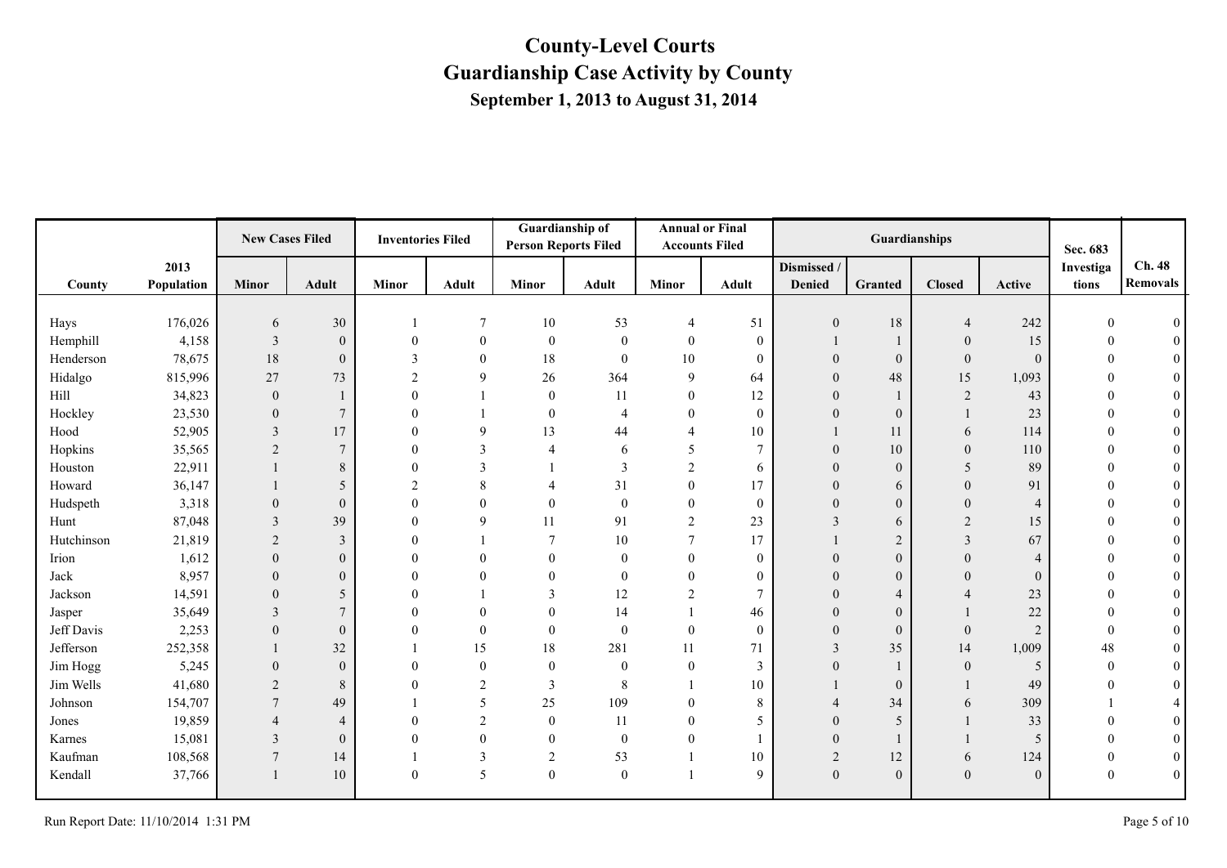|            |            | <b>New Cases Filed</b> |                  | <b>Inventories Filed</b> |                | Guardianship of<br><b>Person Reports Filed</b> |                | <b>Accounts Filed</b> | <b>Annual or Final</b> |              | Guardianships  |                |                | Sec. 683  |                 |
|------------|------------|------------------------|------------------|--------------------------|----------------|------------------------------------------------|----------------|-----------------------|------------------------|--------------|----------------|----------------|----------------|-----------|-----------------|
|            | 2013       |                        |                  |                          |                |                                                |                |                       |                        | Dismissed /  |                |                |                | Investiga | Ch. 48          |
| County     | Population | <b>Minor</b>           | <b>Adult</b>     | <b>Minor</b>             | <b>Adult</b>   | Minor                                          | <b>Adult</b>   | <b>Minor</b>          | <b>Adult</b>           | Denied       | Granted        | <b>Closed</b>  | Active         | tions     | <b>Removals</b> |
|            |            |                        |                  |                          |                |                                                |                |                       |                        |              |                |                |                |           |                 |
| Hays       | 176,026    | 6                      | 30               |                          | 7              | $10\,$                                         | 53             | 4                     | 51                     | $\theta$     | $18\,$         | 4              | 242            |           |                 |
| Hemphill   | 4,158      | 3                      | $\boldsymbol{0}$ |                          | $\theta$       | $\mathbf{0}$                                   | $\overline{0}$ | $\mathbf{0}$          | $\theta$               |              |                | $\theta$       | 15             |           |                 |
| Henderson  | 78,675     | 18                     | $\boldsymbol{0}$ |                          | $\theta$       | 18                                             | $\overline{0}$ | 10                    | $\theta$               |              | $\theta$       | $\overline{0}$ | $\Omega$       |           |                 |
| Hidalgo    | 815,996    | 27                     | 73               |                          | 9              | 26                                             | 364            | 9                     | 64                     |              | 48             | 15             | 1,093          |           |                 |
| Hill       | 34,823     | $\theta$               | $\mathbf{1}$     |                          |                | $\theta$                                       | 11             | $\theta$              | 12                     | $\Omega$     |                | $\overline{2}$ | 43             |           | $\Omega$        |
| Hockley    | 23,530     | $\Omega$               | $\tau$           |                          |                | $\overline{0}$                                 | $\overline{4}$ | $\overline{0}$        | $\theta$               |              | $\mathbf{0}$   |                | 23             |           |                 |
| Hood       | 52,905     | $\overline{3}$         | 17               |                          | 9              | 13                                             | 44             | $\overline{4}$        | 10                     |              | 11             | 6              | 114            |           | $\overline{0}$  |
| Hopkins    | 35,565     | $\overline{2}$         | $\overline{7}$   |                          | 3              | $\overline{\mathcal{A}}$                       | 6              | 5                     | $\overline{7}$         | $\Omega$     | 10             | $\mathbf{0}$   | 110            |           | $\theta$        |
| Houston    | 22,911     |                        | $8\,$            |                          | $\mathbf{3}$   |                                                | $\mathcal{E}$  | $\mathfrak{D}$        | 6                      |              | $\mathbf{0}$   | 5              | 89             |           | $\theta$        |
| Howard     | 36,147     |                        | 5                | $\mathfrak{D}$           | 8              | 4                                              | 31             | $\mathbf{0}$          | 17                     |              | 6              | $\theta$       | 91             |           | $\theta$        |
| Hudspeth   | 3,318      | $\theta$               | $\mathbf{0}$     | $\Omega$                 | $\theta$       | $\Omega$                                       | $\overline{0}$ | $\mathbf{0}$          | $\theta$               | $\Omega$     | $\overline{0}$ | $\Omega$       | $\overline{4}$ |           |                 |
| Hunt       | 87,048     | 3                      | 39               |                          | 9              | 11                                             | 91             | $\overline{2}$        | 23                     | 3            | 6              | $\mathfrak{D}$ | 15             |           | $\Omega$        |
| Hutchinson | 21,819     | $\overline{2}$         | $\overline{3}$   |                          |                | $\tau$                                         | 10             | 7                     | 17                     |              | $\overline{2}$ | 3              | 67             |           | $\theta$        |
| Irion      | 1,612      | $\theta$               | $\mathbf{0}$     |                          | $\theta$       | 0                                              | $\theta$       | $\overline{0}$        | $\theta$               |              | $\overline{0}$ | $\theta$       | $\overline{4}$ |           |                 |
| Jack       | 8,957      | $\Omega$               | $\overline{0}$   |                          | $\Omega$       | 0                                              | $\theta$       | $\Omega$              | $\theta$               | $\Omega$     | $\overline{0}$ | $\Omega$       | $\Omega$       |           | $\overline{0}$  |
| Jackson    | 14,591     | $\Omega$               | 5                |                          |                | 3                                              | 12             | $\overline{2}$        | $\tau$                 |              | $\overline{4}$ |                | 23             |           | $\theta$        |
| Jasper     | 35,649     | 3                      | $\tau$           |                          | $\theta$       | 0                                              | 14             |                       | 46                     |              | $\overline{0}$ |                | 22             |           | $\theta$        |
| Jeff Davis | 2,253      | $\overline{0}$         | $\mathbf{0}$     | $\Omega$                 | $\overline{0}$ | $\overline{0}$                                 | $\mathbf{0}$   | $\mathbf{0}$          | $\mathbf{0}$           | $\theta$     | $\overline{0}$ | $\overline{0}$ | $\overline{2}$ | $\Omega$  | $\theta$        |
| Jefferson  | 252,358    |                        | 32               |                          | 15             | 18                                             | 281            | 11                    | 71                     | 3            | 35             | 14             | 1,009          | 48        | $\theta$        |
| Jim Hogg   | 5,245      | $\theta$               | $\theta$         |                          | $\theta$       | $\theta$                                       | $\overline{0}$ | $\mathbf{0}$          | 3                      |              |                | $\overline{0}$ | 5              | $\Omega$  | $\theta$        |
| Jim Wells  | 41,680     | $\overline{2}$         | $\,8\,$          |                          | 2              | 3                                              | 8              |                       | 10                     |              | $\mathbf{0}$   |                | 49             |           | $\theta$        |
| Johnson    | 154,707    | 7                      | 49               |                          | 5              | 25                                             | 109            | $\theta$              | 8                      |              | 34             | 6              | 309            |           |                 |
| Jones      | 19,859     |                        | $\overline{4}$   |                          | 2              | $\overline{0}$                                 | 11             | $\theta$              | 5                      |              | 5              |                | 33             |           |                 |
| Karnes     | 15,081     | 3                      | $\mathbf{0}$     |                          | $\theta$       | $\theta$                                       | $\overline{0}$ | $\theta$              |                        | $\theta$     |                |                | 5              |           | $\theta$        |
| Kaufman    | 108,568    | $\overline{7}$         | 14               |                          | 3              | 2                                              | 53             |                       | 10                     | 2            | 12             | 6              | 124            | $\theta$  | $\theta$        |
| Kendall    | 37,766     |                        | 10               | $\theta$                 | 5              | $\mathbf{0}$                                   | $\overline{0}$ |                       | 9                      | $\mathbf{0}$ | $\overline{0}$ | $\mathbf{0}$   | $\theta$       |           | $\mathbf{0}$    |
|            |            |                        |                  |                          |                |                                                |                |                       |                        |              |                |                |                |           |                 |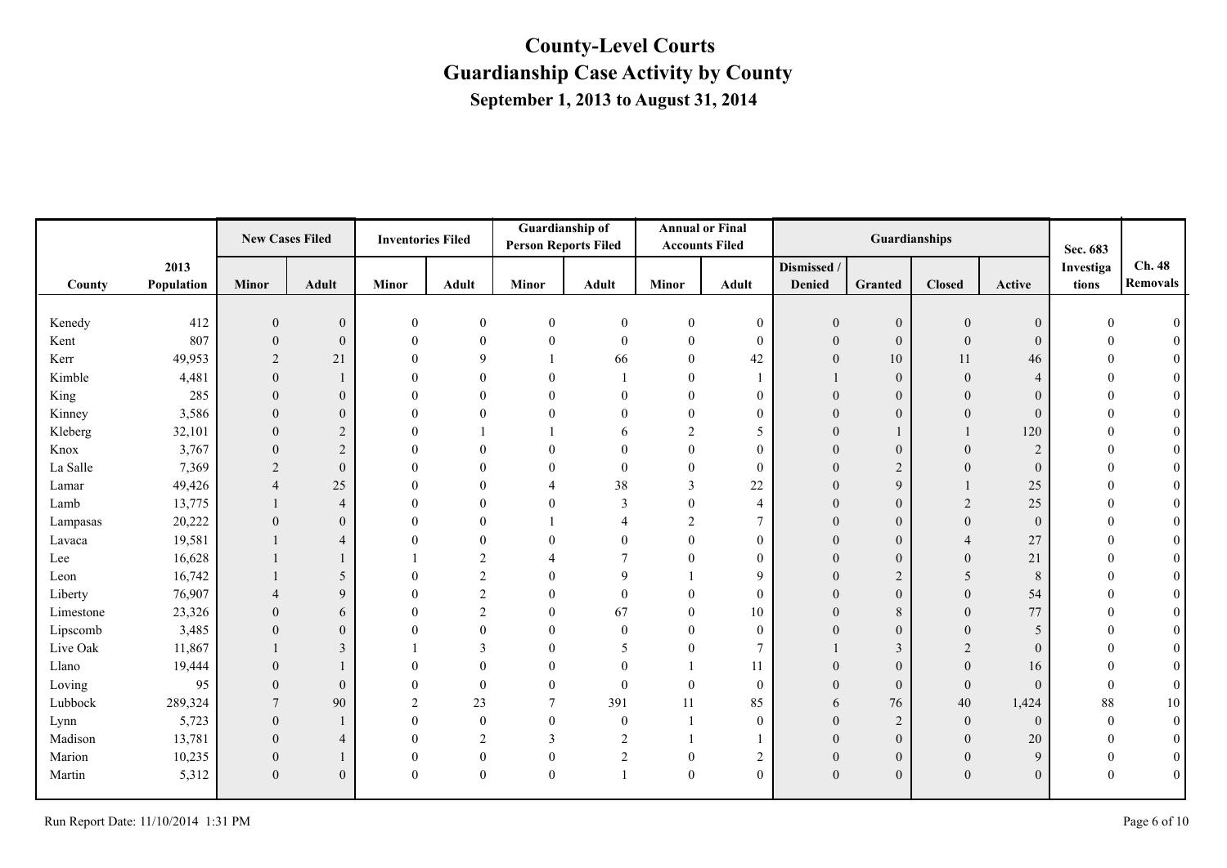|           |            | <b>New Cases Filed</b> |                  | <b>Inventories Filed</b> |                  | <b>Person Reports Filed</b> | Guardianship of  |                | <b>Annual or Final</b><br><b>Accounts Filed</b> |                | Guardianships    |                  |                | Sec. 683  |                  |
|-----------|------------|------------------------|------------------|--------------------------|------------------|-----------------------------|------------------|----------------|-------------------------------------------------|----------------|------------------|------------------|----------------|-----------|------------------|
|           | 2013       |                        |                  |                          |                  |                             |                  |                |                                                 | Dismissed /    |                  |                  |                | Investiga | Ch. 48           |
| County    | Population | <b>Minor</b>           | <b>Adult</b>     | Minor                    | <b>Adult</b>     | <b>Minor</b>                | Adult            | <b>Minor</b>   | <b>Adult</b>                                    | <b>Denied</b>  | Granted          | <b>Closed</b>    | Active         | tions     | <b>Removals</b>  |
|           |            |                        |                  |                          |                  |                             |                  |                |                                                 |                |                  |                  |                |           |                  |
| Kenedy    | 412        | $\mathbf{0}$           | $\mathbf{0}$     | $\mathbf{0}$             | $\boldsymbol{0}$ | $\boldsymbol{0}$            | $\overline{0}$   | $\mathbf{0}$   | $\overline{0}$                                  | 0              | $\mathbf{0}$     | $\boldsymbol{0}$ | $\mathbf{0}$   |           |                  |
| Kent      | 807        | $\theta$               | $\mathbf{0}$     | $\Omega$                 | $\theta$         | $\theta$                    | $\theta$         | $\Omega$       | $\theta$                                        | $\overline{0}$ | $\mathbf{0}$     | $\theta$         | $\theta$       |           |                  |
| Kerr      | 49,953     | 2                      | 21               | $\Omega$                 | 9                |                             | 66               | $\Omega$       | 42                                              | $\overline{0}$ | 10               | 11               | 46             |           |                  |
| Kimble    | 4,481      | $\theta$               | 1                | $\Omega$                 | $\theta$         | $\mathbf{0}$                |                  | $\Omega$       |                                                 |                | $\boldsymbol{0}$ | $\mathbf{0}$     | $\overline{A}$ |           |                  |
| King      | 285        | $\Omega$               | $\mathbf{0}$     | $\theta$                 | $\theta$         | $\Omega$                    | $\theta$         | $\Omega$       | $\mathbf{0}$                                    | $\Omega$       | $\boldsymbol{0}$ | $\Omega$         | $\Omega$       |           | $\theta$         |
| Kinney    | 3,586      | $\Omega$               | $\boldsymbol{0}$ | $\Omega$                 | $\overline{0}$   | $\mathbf{0}$                | $\theta$         | $\Omega$       | $\mathbf{0}$                                    |                | $\theta$         | $\overline{0}$   | $\mathbf{0}$   |           | $\theta$         |
| Kleberg   | 32,101     | $\theta$               | $\overline{2}$   | $\Omega$                 |                  |                             | h                | $\overline{2}$ | 5                                               |                |                  |                  | 120            |           | $\theta$         |
| Knox      | 3,767      | $\Omega$               | 2                |                          | $\Omega$         | $\Omega$                    |                  | $\Omega$       | $\theta$                                        |                | $\boldsymbol{0}$ | $\Omega$         | 2              |           | $\theta$         |
| La Salle  | 7,369      | 2                      | $\mathbf{0}$     | $\Omega$                 | $\Omega$         | $\Omega$                    | $\overline{0}$   | $\Omega$       | $\mathbf{0}$                                    |                | $\sqrt{2}$       |                  | $\Omega$       |           | $\overline{0}$   |
| Lamar     | 49,426     | $\overline{4}$         | 25               | $\Omega$                 | $\theta$         |                             | 38               | 3              | $22\,$                                          |                | 9                |                  | 25             |           | $\mathbf{0}$     |
| Lamb      | 13,775     |                        | $\overline{4}$   | $\Omega$                 | $\theta$         | $\Omega$                    | 3                | $\theta$       | 4                                               | $\theta$       | $\boldsymbol{0}$ | $\overline{2}$   | 25             |           |                  |
| Lampasas  | 20,222     | $\theta$               | $\boldsymbol{0}$ |                          | $\Omega$         |                             | Δ                | 2              | $\tau$                                          | $\theta$       | $\boldsymbol{0}$ | $\Omega$         | $\theta$       |           | $\theta$         |
| Lavaca    | 19,581     |                        | $\overline{4}$   |                          | $\Omega$         | $\Omega$                    | $\Omega$         | $\Omega$       | $\mathbf{0}$                                    | $\Omega$       | $\boldsymbol{0}$ |                  | 27             |           | $\theta$         |
| Lee       | 16,628     |                        | 1                |                          | $\overline{2}$   |                             |                  | $\Omega$       | $\overline{0}$                                  |                | $\boldsymbol{0}$ | $\theta$         | 21             |           | $\theta$         |
| Leon      | 16,742     |                        | 5                |                          | $\overline{c}$   | $\Omega$                    | $\mathbf Q$      |                | 9                                               | $\Omega$       | $\overline{c}$   | 5                | 8              |           | $\theta$         |
| Liberty   | 76,907     |                        | 9                | $\Omega$                 | 2                | $\Omega$                    | $\Omega$         |                | $\theta$                                        |                | $\boldsymbol{0}$ | $\Omega$         | 54             |           |                  |
| Limestone | 23,326     | $\theta$               | 6                | $\Omega$                 | $\overline{2}$   | $\theta$                    | 67               | $\Omega$       | 10                                              |                | $\,8\,$          | $\Omega$         | 77             |           | $\theta$         |
| Lipscomb  | 3,485      | $\Omega$               | $\boldsymbol{0}$ | $\Omega$                 | $\theta$         | $\Omega$                    | $\mathbf{0}$     | $\Omega$       | $\mathbf{0}$                                    | $\theta$       | $\mathbf{0}$     | $\theta$         | 5              |           | $\theta$         |
| Live Oak  | 11,867     |                        | $\overline{3}$   |                          | $\mathcal{E}$    | $\theta$                    | 5                | $\Omega$       | $\tau$                                          |                | $\mathfrak{Z}$   | $\overline{2}$   | $\theta$       |           |                  |
| Llano     | 19,444     | $\Omega$               | 1                | $\Omega$                 | $\theta$         | $\theta$                    | $\overline{0}$   |                | 11                                              |                | $\boldsymbol{0}$ | $\boldsymbol{0}$ | 16             |           | $\overline{0}$   |
| Loving    | 95         | $\theta$               | $\mathbf{0}$     |                          | $\theta$         | $\theta$                    | $\mathbf{0}$     | $\theta$       | $\mathbf{0}$                                    | $\theta$       | $\mathbf{0}$     | $\overline{0}$   | $\theta$       | $\Omega$  | $\boldsymbol{0}$ |
| Lubbock   | 289,324    | $\overline{7}$         | 90               | $\mathfrak{D}$           | 23               | $\overline{7}$              | 391              | 11             | 85                                              | 6              | 76               | 40               | 1,424          | 88        | 10               |
| Lynn      | 5,723      | $\theta$               | $\mathbf{1}$     | $\theta$                 | $\mathbf{0}$     | $\mathbf{0}$                | $\boldsymbol{0}$ |                | $\mathbf{0}$                                    |                | $\overline{c}$   | $\mathbf{0}$     | $\mathbf{0}$   | $\theta$  | $\mathbf{0}$     |
| Madison   | 13,781     | $\theta$               | $\overline{4}$   | $\theta$                 | 2                | 3                           | $\overline{2}$   |                |                                                 | $\overline{0}$ | $\mathbf{0}$     | $\mathbf{0}$     | 20             | $\Omega$  | $\mathbf{0}$     |
| Marion    | 10,235     | $\theta$               | 1                | $\overline{0}$           | $\mathbf{0}$     | $\boldsymbol{0}$            | $\overline{2}$   | $\theta$       | $\sqrt{2}$                                      | $\mathbf{0}$   | $\boldsymbol{0}$ | $\boldsymbol{0}$ | 9              | $\theta$  | $\boldsymbol{0}$ |
| Martin    | 5,312      | $\mathbf{0}$           | $\overline{0}$   | $\mathbf{0}$             | $\mathbf{0}$     | $\mathbf{0}$                |                  | $\theta$       | $\mathbf{0}$                                    | $\overline{0}$ | $\boldsymbol{0}$ | $\boldsymbol{0}$ | $\mathbf{0}$   |           | $\mathbf{0}$     |
|           |            |                        |                  |                          |                  |                             |                  |                |                                                 |                |                  |                  |                |           |                  |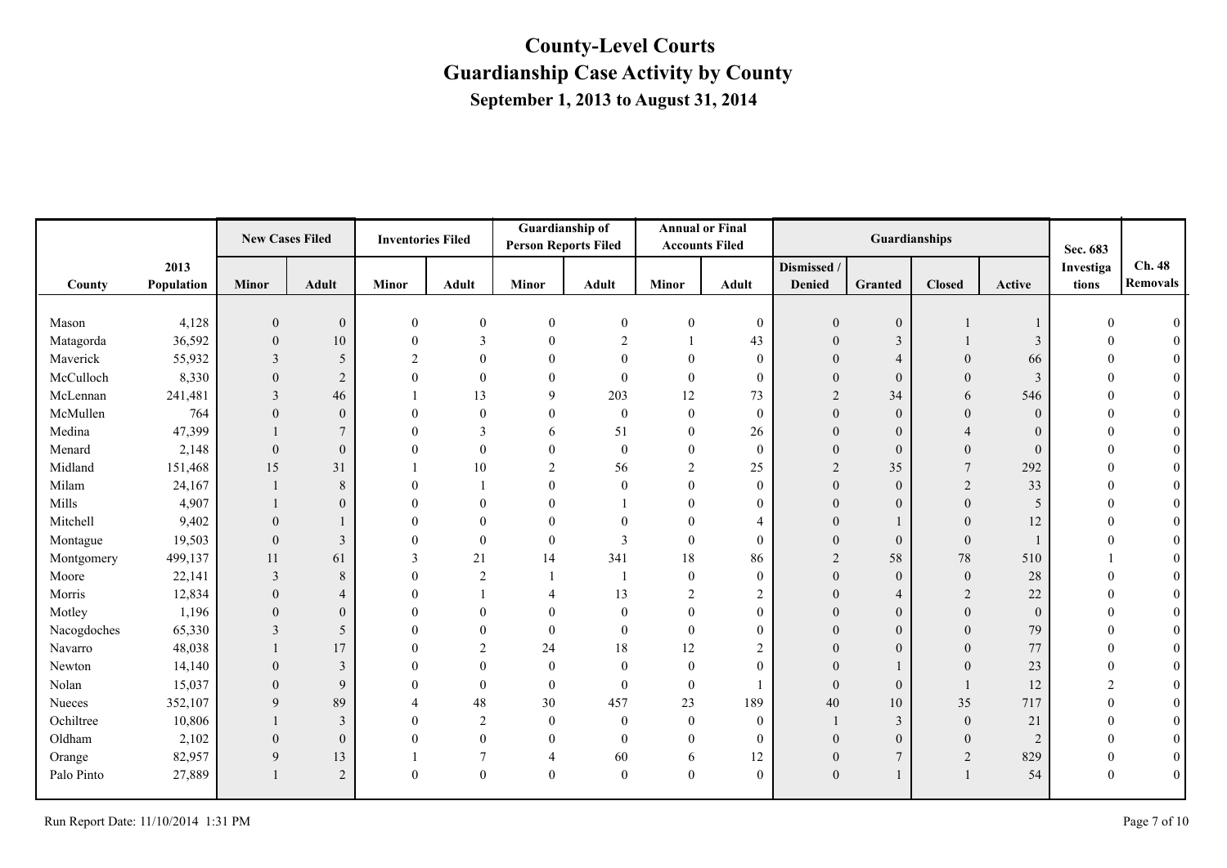|             |            | <b>New Cases Filed</b> |                 | <b>Inventories Filed</b> |                 | Guardianship of<br><b>Person Reports Filed</b> |                         | <b>Accounts Filed</b> | <b>Annual or Final</b> |                  | Guardianships    |                |              | Sec. 683     |                  |
|-------------|------------|------------------------|-----------------|--------------------------|-----------------|------------------------------------------------|-------------------------|-----------------------|------------------------|------------------|------------------|----------------|--------------|--------------|------------------|
|             | 2013       |                        |                 |                          |                 |                                                |                         |                       |                        | Dismissed /      |                  |                |              | Investiga    | Ch. 48           |
| County      | Population | <b>Minor</b>           | <b>Adult</b>    | <b>Minor</b>             | <b>Adult</b>    | <b>Minor</b>                                   | <b>Adult</b>            | <b>Minor</b>          | Adult                  | Denied           | <b>Granted</b>   | <b>Closed</b>  | Active       | tions        | <b>Removals</b>  |
|             |            |                        |                 |                          |                 |                                                |                         |                       |                        |                  |                  |                |              |              |                  |
| Mason       | 4,128      | $\overline{0}$         | $\mathbf{0}$    | $\boldsymbol{0}$         | $\overline{0}$  | $\mathbf{0}$                                   | $\mathbf{0}$            | $\mathbf{0}$          | $\mathbf{0}$           | $\overline{0}$   | $\mathbf{0}$     |                |              |              |                  |
| Matagorda   | 36,592     | $\Omega$               | 10              | $\theta$                 | 3               | $\Omega$                                       | $\overline{2}$          |                       | 43                     | $\theta$         | 3                |                | 3            |              | $\theta$         |
| Maverick    | 55,932     | 3                      | 5               | $\mathcal{D}$            |                 |                                                | $\Omega$                | $\overline{0}$        | $\mathbf{0}$           | $\theta$         | $\overline{4}$   | $\theta$       | 66           |              | $\theta$         |
| McCulloch   | 8,330      | $\overline{0}$         | 2               | $\Omega$                 | $\overline{0}$  | 0                                              | $\overline{0}$          | $\mathbf{0}$          | $\mathbf{0}$           | $\overline{0}$   | $\theta$         | $\theta$       | 3            |              | $\overline{0}$   |
| McLennan    | 241,481    | 3                      | 46              |                          | 13              | 9                                              | 203                     | 12                    | 73                     | $\overline{2}$   | 34               | 6              | 546          | $\Omega$     | $\mathbf{0}$     |
| McMullen    | 764        | $\overline{0}$         | $\mathbf{0}$    | $\Omega$                 | $\overline{0}$  | 0                                              | $\theta$                | $\overline{0}$        | $\mathbf{0}$           | $\overline{0}$   | $\overline{0}$   | $\theta$       | $\mathbf{0}$ | $\Omega$     | $\mathbf{0}$     |
| Medina      | 47,399     |                        | $7\phantom{.0}$ | $\theta$                 | 3               | 6                                              | 51                      | $\mathbf{0}$          | 26                     | $\overline{0}$   | $\mathbf{0}$     |                | $\mathbf{0}$ | $\Omega$     | $\mathbf{0}$     |
| Menard      | 2,148      | $\overline{0}$         | $\mathbf{0}$    | $\Omega$                 | $\theta$        | 0                                              | $\mathbf{0}$            | $\mathbf{0}$          | $\mathbf{0}$           | $\theta$         | $\mathbf{0}$     | $\overline{0}$ | $\Omega$     |              | $\mathbf{0}$     |
| Midland     | 151,468    | 15                     | 31              |                          | 10              | $\overline{2}$                                 | 56                      | $\overline{2}$        | 25                     | $\overline{2}$   | 35               | 7              | 292          | $\Omega$     | $\boldsymbol{0}$ |
| Milam       | 24,167     |                        | $\,8\,$         | $\Omega$                 |                 | $\theta$                                       | $\theta$                | $\mathbf{0}$          | $\mathbf{0}$           | $\theta$         | $\boldsymbol{0}$ | 2              | 33           | $\Omega$     | $\boldsymbol{0}$ |
| Mills       | 4,907      |                        | $\mathbf{0}$    | $\Omega$                 | 0               |                                                |                         | $\overline{0}$        | $\theta$               | $\theta$         | $\overline{0}$   | $\overline{0}$ | 5            | $\Omega$     | $\overline{0}$   |
| Mitchell    | 9,402      | $\overline{0}$         |                 | $\Omega$                 | 0               | $\Omega$                                       | $\Omega$                | $\overline{0}$        | 4                      | $\overline{0}$   |                  | $\overline{0}$ | 12           | $\Omega$     | $\overline{0}$   |
| Montague    | 19,503     | $\mathbf{0}$           | 3               | $\theta$                 | $\theta$        | $\Omega$                                       | $\overline{\mathbf{3}}$ | $\overline{0}$        | $\mathbf{0}$           | $\theta$         | $\boldsymbol{0}$ | $\mathbf{0}$   |              |              | $\theta$         |
| Montgomery  | 499,137    | 11                     | 61              | 3                        | 21              | 14                                             | 341                     | 18                    | 86                     | $\overline{2}$   | 58               | 78             | 510          |              | $\overline{0}$   |
| Moore       | 22,141     | 3                      | 8               | $\theta$                 | $\overline{2}$  |                                                |                         | $\overline{0}$        | $\mathbf{0}$           | $\theta$         | $\boldsymbol{0}$ | $\mathbf{0}$   | 28           |              | $\overline{0}$   |
| Morris      | 12,834     | $\Omega$               | $\overline{4}$  | $\theta$                 |                 | $\overline{\mathcal{A}}$                       | 13                      | $\overline{2}$        | $\overline{2}$         | $\Omega$         | $\overline{4}$   | $\overline{2}$ | 22           | $\Omega$     | $\boldsymbol{0}$ |
| Motley      | 1,196      | $\overline{0}$         | $\mathbf{0}$    | $\theta$                 |                 | $\theta$                                       | $\boldsymbol{0}$        | $\overline{0}$        | $\theta$               | $\theta$         | $\boldsymbol{0}$ | $\mathbf{0}$   | $\Omega$     |              | $\overline{0}$   |
| Nacogdoches | 65,330     | 3                      | 5               | $\Omega$                 | 0               | $\Omega$                                       | $\mathbf{0}$            | $\theta$              | $\theta$               | $\theta$         | $\mathbf{0}$     | $\overline{0}$ | 79           | $\Omega$     | $\overline{0}$   |
| Navarro     | 48,038     |                        | 17              | $\theta$                 | $\overline{c}$  | 24                                             | 18                      | 12                    | $\overline{2}$         | $\theta$         | $\mathbf{0}$     | $\Omega$       | 77           | $\theta$     | $\overline{0}$   |
| Newton      | 14,140     | $\overline{0}$         | $\overline{3}$  | $\theta$                 | $\Omega$        | $\mathbf{0}$                                   | $\boldsymbol{0}$        | $\overline{0}$        | $\theta$               |                  |                  | $\mathbf{0}$   | 23           |              | $\overline{0}$   |
| Nolan       | 15,037     | $\Omega$               | 9               | $\Omega$                 | $\theta$        | $\theta$                                       | $\theta$                | $\overline{0}$        |                        | $\theta$         | $\overline{0}$   |                | 12           | 2            | $\mathbf{0}$     |
| Nueces      | 352,107    | 9                      | 89              |                          | 48              | 30                                             | 457                     | 23                    | 189                    | 40               | 10               | 35             | 717          | $\theta$     | $\mathbf{0}$     |
| Ochiltree   | 10,806     |                        | 3               | $\theta$                 | $\overline{2}$  | $\overline{0}$                                 | $\boldsymbol{0}$        | $\mathbf{0}$          | $\mathbf{0}$           |                  | 3                | $\overline{0}$ | 21           | $\theta$     | $\boldsymbol{0}$ |
| Oldham      | 2,102      | $\overline{0}$         | $\mathbf{0}$    | $\Omega$                 | $\theta$        | $\theta$                                       | $\overline{0}$          | $\overline{0}$        | $\mathbf{0}$           | $\overline{0}$   | $\overline{0}$   | $\overline{0}$ | 2            | $\theta$     | $\mathbf{0}$     |
| Orange      | 82,957     | 9                      | 13              |                          | $7\phantom{.0}$ | $\overline{4}$                                 | 60                      | 6                     | 12                     | $\boldsymbol{0}$ | $\overline{7}$   | 2              | 829          | $\mathbf{0}$ | $\boldsymbol{0}$ |
| Palo Pinto  | 27,889     |                        | $\overline{2}$  | $\theta$                 | $\overline{0}$  | $\boldsymbol{0}$                               | $\boldsymbol{0}$        | $\boldsymbol{0}$      | $\mathbf{0}$           | $\theta$         |                  |                | 54           | $\theta$     | $\boldsymbol{0}$ |
|             |            |                        |                 |                          |                 |                                                |                         |                       |                        |                  |                  |                |              |              |                  |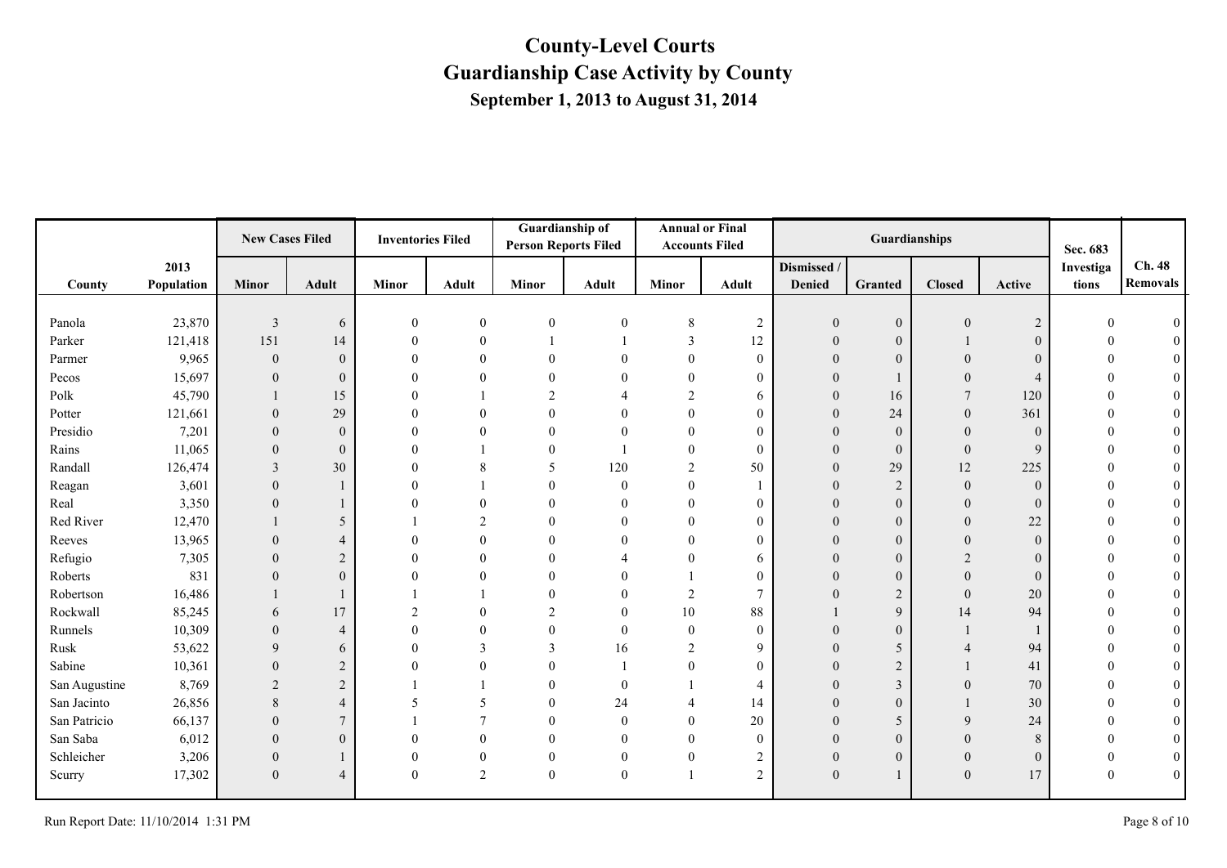|               |            | <b>New Cases Filed</b> |                | <b>Inventories Filed</b> |                  | <b>Person Reports Filed</b> | <b>Guardianship of</b> |                  | <b>Annual or Final</b><br><b>Accounts Filed</b> |                | Guardianships    |                |                | Sec. 683  |                 |
|---------------|------------|------------------------|----------------|--------------------------|------------------|-----------------------------|------------------------|------------------|-------------------------------------------------|----------------|------------------|----------------|----------------|-----------|-----------------|
|               | 2013       |                        |                |                          |                  |                             |                        |                  |                                                 | Dismissed /    |                  |                |                | Investiga | Ch. 48          |
| County        | Population | <b>Minor</b>           | <b>Adult</b>   | <b>Minor</b>             | Adult            | Minor                       | Adult                  | <b>Minor</b>     | Adult                                           | <b>Denied</b>  | Granted          | <b>Closed</b>  | Active         | tions     | <b>Removals</b> |
|               |            |                        |                |                          |                  |                             |                        |                  |                                                 |                |                  |                |                |           |                 |
| Panola        | 23,870     | $\overline{3}$         | 6              | $\theta$                 | $\boldsymbol{0}$ | $\boldsymbol{0}$            | $\mathbf{0}$           | 8                | $\overline{c}$                                  |                | $\mathbf{0}$     | $\mathbf{0}$   | $\overline{c}$ |           |                 |
| Parker        | 121,418    | 151                    | 14             |                          | $\theta$         |                             |                        | 3                | 12                                              | $\theta$       | $\mathbf{0}$     |                | $\theta$       |           |                 |
| Parmer        | 9,965      | $\mathbf{0}$           | $\theta$       |                          | $\Omega$         |                             |                        | $\theta$         | $\theta$                                        |                | $\overline{0}$   |                | $\theta$       |           |                 |
| Pecos         | 15,697     | $\mathbf{0}$           | $\mathbf{0}$   |                          |                  |                             |                        | $\theta$         | $\theta$                                        |                |                  | $\theta$       | $\overline{4}$ |           |                 |
| Polk          | 45,790     |                        | 15             |                          |                  | 2                           |                        | $\overline{2}$   | 6                                               | $\Omega$       | 16               | $\overline{7}$ | 120            |           | $\theta$        |
| Potter        | 121,661    | $\theta$               | 29             |                          | $\Omega$         |                             |                        | $\overline{0}$   | $\theta$                                        |                | 24               | $\overline{0}$ | 361            |           | $\theta$        |
| Presidio      | 7,201      | $\mathbf{0}$           | $\mathbf{0}$   |                          | $\Omega$         |                             |                        | $\theta$         | $\theta$                                        |                | $\boldsymbol{0}$ | $\overline{0}$ | $\mathbf{0}$   |           | $\theta$        |
| Rains         | 11,065     | $\theta$               | $\mathbf{0}$   |                          |                  | 0                           |                        | $\theta$         | $\theta$                                        | 0              | $\mathbf{0}$     | $\overline{0}$ | 9              |           | $\theta$        |
| Randall       | 126,474    | 3                      | 30             |                          | 8                | 5                           | 120                    | 2                | 50                                              |                | 29               | 12             | 225            |           | $\overline{0}$  |
| Reagan        | 3,601      | $\theta$               | 1              |                          |                  |                             | $\mathbf{0}$           | $\theta$         |                                                 |                | $\overline{2}$   | $\mathbf{0}$   | $\mathbf{0}$   |           | $\theta$        |
| Real          | 3,350      | $\Omega$               | 1              |                          | $\Omega$         |                             | $\theta$               | $\theta$         | $\theta$                                        |                | $\mathbf{0}$     | $\theta$       | $\Omega$       |           |                 |
| Red River     | 12,470     |                        | 5              |                          | 2                |                             | $\Omega$               | $\overline{0}$   | $\theta$                                        | $\overline{0}$ | $\mathbf{0}$     | $\overline{0}$ | 22             |           | $\theta$        |
| Reeves        | 13,965     | $\Omega$               | $\overline{4}$ |                          | $\theta$         |                             |                        | $\theta$         | $\Omega$                                        |                | $\boldsymbol{0}$ | $\Omega$       | $\Omega$       |           | $\theta$        |
| Refugio       | 7,305      | $\Omega$               | $\overline{2}$ |                          | $\Omega$         |                             |                        | $\theta$         | 6                                               |                | $\boldsymbol{0}$ |                | $\Omega$       |           | $\theta$        |
| Roberts       | 831        | $\Omega$               | $\theta$       |                          | $\Omega$         |                             |                        |                  | $\Omega$                                        |                | $\mathbf{0}$     | $\Omega$       | $\Omega$       |           | $\theta$        |
| Robertson     | 16,486     |                        | $\mathbf{1}$   |                          |                  |                             |                        | 2                | $\overline{7}$                                  |                | $\sqrt{2}$       | $\mathbf{0}$   | 20             |           |                 |
| Rockwall      | 85,245     | 6                      | 17             |                          | $\Omega$         | $\overline{c}$              |                        | 10               | 88                                              |                | 9                | 14             | 94             |           |                 |
| Runnels       | 10,309     | $\Omega$               | $\overline{4}$ | $\Omega$                 | $\Omega$         | 0                           | $\theta$               | $\mathbf{0}$     | $\theta$                                        | $\Omega$       | $\mathbf{0}$     |                |                |           | $\Omega$        |
| Rusk          | 53,622     | $\mathbf{Q}$           | 6              | $\Omega$                 | $\mathbf{3}$     | 3                           | 16                     | $\overline{2}$   | 9                                               |                | 5                |                | 94             |           |                 |
| Sabine        | 10,361     | $\Omega$               | $\overline{2}$ |                          | $\theta$         |                             |                        | $\theta$         | $\theta$                                        |                | $\overline{2}$   |                | 41             |           | $\theta$        |
| San Augustine | 8,769      | 2                      | 2              |                          |                  |                             | $\theta$               |                  | $\overline{\mathcal{A}}$                        | 0              | 3                | $\theta$       | 70             |           | $\theta$        |
| San Jacinto   | 26,856     | 8                      | $\overline{4}$ |                          | 5                |                             | 24                     | $\overline{4}$   | 14                                              |                | $\overline{0}$   |                | 30             |           |                 |
| San Patricio  | 66,137     | $\theta$               | $\tau$         |                          |                  |                             | $\mathbf{0}$           | $\theta$         | 20                                              |                | 5                | 9              | 24             |           | $\overline{0}$  |
| San Saba      | 6,012      | $\Omega$               | $\overline{0}$ |                          | $\Omega$         |                             | $\theta$               | $\theta$         | $\theta$                                        | $\Omega$       | $\mathbf{0}$     | $\Omega$       | 8              |           | $\theta$        |
| Schleicher    | 3,206      | $\mathbf{0}$           | 1              |                          | $\theta$         | 0                           | $\mathbf{0}$           | $\boldsymbol{0}$ | $\overline{2}$                                  | $\overline{0}$ | $\mathbf{0}$     | $\theta$       | $\overline{0}$ |           | $\theta$        |
| Scurry        | 17,302     | $\mathbf{0}$           | $\overline{4}$ | $\Omega$                 | 2                | $\boldsymbol{0}$            | $\mathbf{0}$           |                  | $\overline{2}$                                  | $\theta$       |                  | $\mathbf{0}$   | 17             |           | $\mathbf{0}$    |
|               |            |                        |                |                          |                  |                             |                        |                  |                                                 |                |                  |                |                |           |                 |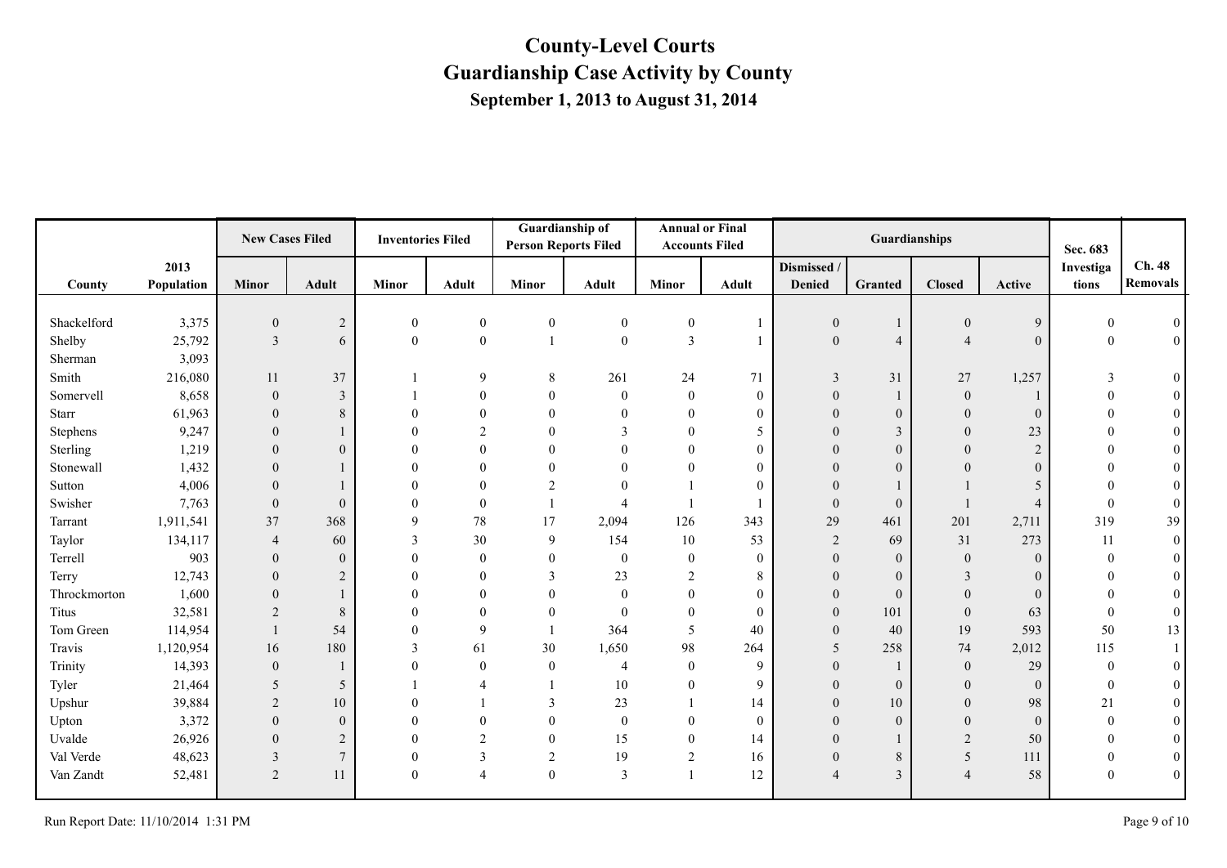|              |            | <b>New Cases Filed</b> |                | <b>Inventories Filed</b> |                  | Guardianship of<br><b>Person Reports Filed</b> |                         | <b>Accounts Filed</b> | <b>Annual or Final</b> |                          | Guardianships    |                  |                | Sec. 683         |                  |
|--------------|------------|------------------------|----------------|--------------------------|------------------|------------------------------------------------|-------------------------|-----------------------|------------------------|--------------------------|------------------|------------------|----------------|------------------|------------------|
|              | 2013       |                        |                |                          |                  |                                                |                         |                       |                        | Dismissed /              |                  |                  |                | Investiga        | Ch. 48           |
| County       | Population | <b>Minor</b>           | <b>Adult</b>   | <b>Minor</b>             | Adult            | <b>Minor</b>                                   | <b>Adult</b>            | <b>Minor</b>          | <b>Adult</b>           | <b>Denied</b>            | Granted          | <b>Closed</b>    | Active         | tions            | <b>Removals</b>  |
|              |            |                        |                |                          |                  |                                                |                         |                       |                        |                          |                  |                  |                |                  |                  |
| Shackelford  | 3,375      | $\boldsymbol{0}$       | $\sqrt{2}$     | $\boldsymbol{0}$         | $\boldsymbol{0}$ | $\boldsymbol{0}$                               | $\bf{0}$                | $\boldsymbol{0}$      |                        | $\boldsymbol{0}$         |                  | $\boldsymbol{0}$ | 9              |                  | $\theta$         |
| Shelby       | 25,792     | $\overline{3}$         | 6              | $\boldsymbol{0}$         | $\mathbf{0}$     |                                                | $\mathbf{0}$            | $\overline{3}$        |                        | $\overline{0}$           | $\overline{4}$   | $\overline{4}$   | $\theta$       | $\theta$         | $\boldsymbol{0}$ |
| Sherman      | 3,093      |                        |                |                          |                  |                                                |                         |                       |                        |                          |                  |                  |                |                  |                  |
| Smith        | 216,080    | 11                     | 37             |                          | 9                | 8                                              | 261                     | 24                    | 71                     | 3                        | 31               | 27               | 1,257          | 3                | $\boldsymbol{0}$ |
| Somervell    | 8,658      | $\overline{0}$         | $\overline{3}$ |                          | $\Omega$         | $\Omega$                                       | $\theta$                | $\overline{0}$        | $\overline{0}$         | $\theta$                 |                  | $\overline{0}$   |                | $\mathbf{0}$     | $\overline{0}$   |
| Starr        | 61,963     | $\Omega$               | $\,8\,$        | $\Omega$                 |                  | 0                                              | $\Omega$                | $\mathbf{0}$          | $\theta$               | $\theta$                 | $\overline{0}$   | $\overline{0}$   | $\Omega$       | $\theta$         | $\overline{0}$   |
| Stephens     | 9,247      | $\overline{0}$         |                | $\theta$                 | 2                | $\overline{0}$                                 | $\overline{3}$          | $\overline{0}$        | 5                      | $\theta$                 | 3                | $\overline{0}$   | 23             | $\Omega$         | $\boldsymbol{0}$ |
| Sterling     | 1,219      | $\theta$               | $\mathbf{0}$   | $\Omega$                 | 0                | $\Omega$                                       | $\Omega$                | $\overline{0}$        | $\mathbf{0}$           | $\theta$                 | $\mathbf{0}$     | $\theta$         | $\overline{2}$ | $\theta$         | $\boldsymbol{0}$ |
| Stonewall    | 1,432      | $\Omega$               |                | $\Omega$                 |                  | $\Omega$                                       | $\Omega$                | $\theta$              | $\theta$               | $\theta$                 | $\boldsymbol{0}$ | $\Omega$         | $\theta$       |                  | $\boldsymbol{0}$ |
| Sutton       | 4,006      | $\theta$               |                | $\Omega$                 |                  | $\overline{c}$                                 | $\Omega$                |                       | $\theta$               | $\Omega$                 |                  |                  | 5              | $\Omega$         | $\boldsymbol{0}$ |
| Swisher      | 7,763      | $\overline{0}$         | $\mathbf{0}$   | $\Omega$                 | $\overline{0}$   |                                                | $\overline{4}$          |                       |                        | $\theta$                 | $\overline{0}$   |                  | $\overline{4}$ | $\theta$         | $\overline{0}$   |
| Tarrant      | 1,911,541  | 37                     | 368            | 9                        | 78               | 17                                             | 2,094                   | 126                   | 343                    | 29                       | 461              | 201              | 2,711          | 319              | 39               |
| Taylor       | 134,117    | $\overline{4}$         | 60             | 3                        | 30               | 9                                              | 154                     | $10\,$                | 53                     | $\overline{2}$           | 69               | 31               | 273            | 11               | $\boldsymbol{0}$ |
| Terrell      | 903        | $\Omega$               | $\mathbf{0}$   | $\theta$                 | $\theta$         | $\Omega$                                       | $\bf{0}$                | $\overline{0}$        | $\mathbf{0}$           | $\theta$                 | $\mathbf{0}$     | $\mathbf{0}$     | $\Omega$       | $\theta$         | $\overline{0}$   |
| Terry        | 12,743     | $\overline{0}$         | 2              | $\Omega$                 | $\theta$         | 3                                              | 23                      | 2                     | 8                      | $\overline{0}$           | $\overline{0}$   | 3                | $\theta$       | $\Omega$         | $\mathbf{0}$     |
| Throckmorton | 1,600      | $\Omega$               |                | $\Omega$                 | 0                |                                                | $\boldsymbol{0}$        | $\overline{0}$        | $\mathbf{0}$           | $\theta$                 | $\boldsymbol{0}$ | $\theta$         | $\theta$       | $\Omega$         | $\boldsymbol{0}$ |
| Titus        | 32,581     | $\overline{2}$         | $\,8\,$        | $\Omega$                 | 0                | $\overline{0}$                                 | $\boldsymbol{0}$        | $\boldsymbol{0}$      | $\mathbf{0}$           | $\overline{0}$           | 101              | $\mathbf{0}$     | 63             | $\mathbf{0}$     | $\mathbf{0}$     |
| Tom Green    | 114,954    |                        | 54             | $\theta$                 | 9                |                                                | 364                     | 5                     | 40                     | $\theta$                 | 40               | 19               | 593            | 50               | 13               |
| Travis       | 1,120,954  | 16                     | 180            | 3                        | 61               | 30                                             | 1,650                   | 98                    | 264                    | 5                        | 258              | 74               | 2,012          | 115              |                  |
| Trinity      | 14,393     | $\mathbf{0}$           |                | $\overline{0}$           | $\overline{0}$   | $\mathbf{0}$                                   | $\overline{4}$          | $\overline{0}$        | 9                      | $\overline{0}$           |                  | $\mathbf{0}$     | 29             | $\boldsymbol{0}$ | $\overline{0}$   |
| Tyler        | 21,464     | 5                      | 5              |                          | 4                |                                                | $10\,$                  | $\overline{0}$        | 9                      | $\theta$                 | $\overline{0}$   | $\theta$         | $\theta$       | $\mathbf{0}$     | $\overline{0}$   |
| Upshur       | 39,884     | $\overline{2}$         | 10             | $\Omega$                 |                  | 3                                              | 23                      |                       | 14                     | $\theta$                 | 10               | $\theta$         | 98             | 21               | $\overline{0}$   |
| Upton        | 3,372      | $\Omega$               | $\mathbf{0}$   | $\theta$                 | 0                | $\Omega$                                       | $\bf{0}$                | $\mathbf{0}$          | $\mathbf{0}$           | $\theta$                 | $\overline{0}$   | $\mathbf{0}$     | $\Omega$       | $\theta$         | $\boldsymbol{0}$ |
| Uvalde       | 26,926     | $\overline{0}$         | $\sqrt{2}$     | $\theta$                 | 2                | $\overline{0}$                                 | 15                      | $\overline{0}$        | 14                     | $\overline{0}$           |                  | 2                | 50             | $\mathbf{0}$     | $\mathbf{0}$     |
| Val Verde    | 48,623     | 3                      | $\overline{7}$ | $\mathbf{0}$             | 3                | 2                                              | 19                      | $\overline{c}$        | 16                     | $\boldsymbol{0}$         | 8                | 5                | 111            | $\boldsymbol{0}$ | $\boldsymbol{0}$ |
| Van Zandt    | 52,481     | $\overline{2}$         | 11             | $\mathbf{0}$             | $\overline{4}$   | $\overline{0}$                                 | $\overline{\mathbf{3}}$ | $\mathbf{1}$          | 12                     | $\overline{\mathcal{A}}$ | 3                | $\overline{4}$   | 58             | $\theta$         | $\boldsymbol{0}$ |
|              |            |                        |                |                          |                  |                                                |                         |                       |                        |                          |                  |                  |                |                  |                  |